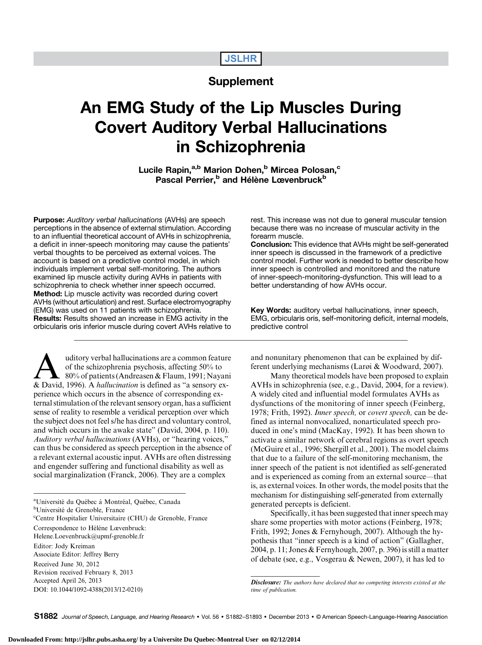# JSLHR

# Supplement

# An EMG Study of the Lip Muscles During Covert Auditory Verbal Hallucinations in Schizophrenia

Lucile Rapin,<sup>a,b</sup> Marion Dohen,<sup>b</sup> Mircea Polosan,<sup>c</sup> Pascal Perrier,<sup>b</sup> and Hélène Lœvenbruck<sup>b</sup>

Purpose: Auditory verbal hallucinations (AVHs) are speech perceptions in the absence of external stimulation. According to an influential theoretical account of AVHs in schizophrenia, a deficit in inner-speech monitoring may cause the patients' verbal thoughts to be perceived as external voices. The account is based on a predictive control model, in which individuals implement verbal self-monitoring. The authors examined lip muscle activity during AVHs in patients with schizophrenia to check whether inner speech occurred. Method: Lip muscle activity was recorded during covert AVHs (without articulation) and rest. Surface electromyography (EMG) was used on 11 patients with schizophrenia. Results: Results showed an increase in EMG activity in the orbicularis oris inferior muscle during covert AVHs relative to

ditory verbal hallucinations are a common feature<br>of the schizophrenia psychosis, affecting 50% to<br> $80\%$  of patients (Andreasen & Flaum, 1991; Nayani<br>& David 1996) A *hallucination* is defined as "a sensory exof the schizophrenia psychosis, affecting 50% to 80% of patients (Andreasen & Flaum, 1991; Nayani & David, 1996). A hallucination is defined as "a sensory experience which occurs in the absence of corresponding external stimulation of the relevant sensory organ, has a sufficient sense of reality to resemble a veridical perception over which the subject does not feel s/he has direct and voluntary control, and which occurs in the awake state" (David, 2004, p. 110). Auditory verbal hallucinations (AVHs), or "hearing voices," can thus be considered as speech perception in the absence of a relevant external acoustic input. AVHs are often distressing and engender suffering and functional disability as well as social marginalization (Franck, 2006). They are a complex

a Université du Québec à Montréal, Québec, Canada

b Université de Grenoble, France

c Centre Hospitalier Universitaire (CHU) de Grenoble, France

Correspondence to Hélène Lœvenbruck:

Helene.Loevenbruck@upmf-grenoble.fr

Editor: Jody Kreiman

Associate Editor: Jeffrey Berry

Received June 30, 2012 Revision received February 8, 2013

Accepted April 26, 2013

DOI: 10.1044/1092-4388(2013/12-0210)

rest. This increase was not due to general muscular tension because there was no increase of muscular activity in the forearm muscle.

Conclusion: This evidence that AVHs might be self-generated inner speech is discussed in the framework of a predictive control model. Further work is needed to better describe how inner speech is controlled and monitored and the nature of inner-speech-monitoring-dysfunction. This will lead to a better understanding of how AVHs occur.

Key Words: auditory verbal hallucinations, inner speech, EMG, orbicularis oris, self-monitoring deficit, internal models, predictive control

and nonunitary phenomenon that can be explained by different underlying mechanisms (Larøi & Woodward, 2007).

Many theoretical models have been proposed to explain AVHs in schizophrenia (see, e.g., David, 2004, for a review). A widely cited and influential model formulates AVHs as dysfunctions of the monitoring of inner speech (Feinberg, 1978; Frith, 1992). Inner speech, or covert speech, can be defined as internal nonvocalized, nonarticulated speech produced in one's mind (MacKay, 1992). It has been shown to activate a similar network of cerebral regions as overt speech (McGuire et al., 1996; Shergill et al., 2001). The model claims that due to a failure of the self-monitoring mechanism, the inner speech of the patient is not identified as self-generated and is experienced as coming from an external source—that is, as external voices. In other words, the model posits that the mechanism for distinguishing self-generated from externally generated percepts is deficient.

Specifically, it has been suggested that inner speech may share some properties with motor actions (Feinberg, 1978; Frith, 1992; Jones & Fernyhough, 2007). Although the hypothesis that "inner speech is a kind of action" (Gallagher, 2004, p. 11; Jones & Fernyhough, 2007, p. 396) is still a matter of debate (see, e.g., Vosgerau & Newen, 2007), it has led to

S1882 Journal of Speech, Language, and Hearing Research • Vol. 56 • S1882–S1893 • December 2013 • © American Speech-Language-Hearing Association

Disclosure: The authors have declared that no competing interests existed at the time of publication.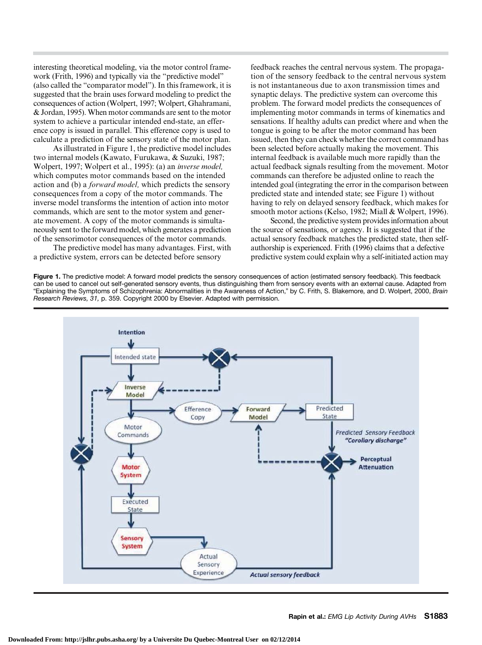interesting theoretical modeling, via the motor control framework (Frith, 1996) and typically via the "predictive model" (also called the "comparator model"). In this framework, it is suggested that the brain uses forward modeling to predict the consequences of action (Wolpert, 1997; Wolpert, Ghahramani, & Jordan, 1995). When motor commands are sent to the motor system to achieve a particular intended end-state, an efference copy is issued in parallel. This efference copy is used to calculate a prediction of the sensory state of the motor plan.

As illustrated in Figure 1, the predictive model includes two internal models (Kawato, Furukawa, & Suzuki, 1987; Wolpert, 1997; Wolpert et al., 1995): (a) an inverse model, which computes motor commands based on the intended action and (b) a forward model, which predicts the sensory consequences from a copy of the motor commands. The inverse model transforms the intention of action into motor commands, which are sent to the motor system and generate movement. A copy of the motor commands is simultaneously sent to the forward model, which generates a prediction of the sensorimotor consequences of the motor commands.

The predictive model has many advantages. First, with a predictive system, errors can be detected before sensory

feedback reaches the central nervous system. The propagation of the sensory feedback to the central nervous system is not instantaneous due to axon transmission times and synaptic delays. The predictive system can overcome this problem. The forward model predicts the consequences of implementing motor commands in terms of kinematics and sensations. If healthy adults can predict where and when the tongue is going to be after the motor command has been issued, then they can check whether the correct command has been selected before actually making the movement. This internal feedback is available much more rapidly than the actual feedback signals resulting from the movement. Motor commands can therefore be adjusted online to reach the intended goal (integrating the error in the comparison between predicted state and intended state; see Figure 1) without having to rely on delayed sensory feedback, which makes for smooth motor actions (Kelso, 1982; Miall & Wolpert, 1996).

Second, the predictive system provides information about the source of sensations, or agency. It is suggested that if the actual sensory feedback matches the predicted state, then selfauthorship is experienced. Frith (1996) claims that a defective predictive system could explain why a self-initiated action may

Figure 1. The predictive model: A forward model predicts the sensory consequences of action (estimated sensory feedback). This feedback can be used to cancel out self-generated sensory events, thus distinguishing them from sensory events with an external cause. Adapted from "Explaining the Symptoms of Schizophrenia: Abnormalities in the Awareness of Action," by C. Frith, S. Blakemore, and D. Wolpert, 2000, Brain Research Reviews, 31, p. 359. Copyright 2000 by Elsevier. Adapted with permission.

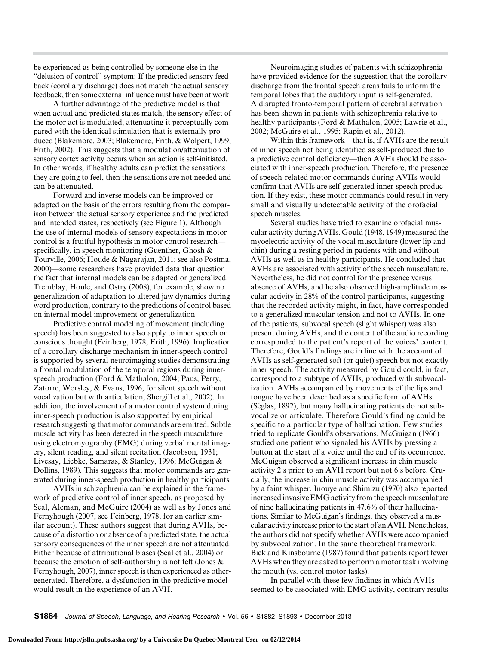be experienced as being controlled by someone else in the "delusion of control" symptom: If the predicted sensory feedback (corollary discharge) does not match the actual sensory feedback, then some external influence must have been at work.

A further advantage of the predictive model is that when actual and predicted states match, the sensory effect of the motor act is modulated, attenuating it perceptually compared with the identical stimulation that is externally produced (Blakemore, 2003; Blakemore, Frith, & Wolpert, 1999; Frith, 2002). This suggests that a modulation/attenuation of sensory cortex activity occurs when an action is self-initiated. In other words, if healthy adults can predict the sensations they are going to feel, then the sensations are not needed and can be attenuated.

Forward and inverse models can be improved or adapted on the basis of the errors resulting from the comparison between the actual sensory experience and the predicted and intended states, respectively (see Figure 1). Although the use of internal models of sensory expectations in motor control is a fruitful hypothesis in motor control research specifically, in speech monitoring (Guenther, Ghosh & Tourville, 2006; Houde & Nagarajan, 2011; see also Postma, 2000)—some researchers have provided data that question the fact that internal models can be adapted or generalized. Tremblay, Houle, and Ostry (2008), for example, show no generalization of adaptation to altered jaw dynamics during word production, contrary to the predictions of control based on internal model improvement or generalization.

Predictive control modeling of movement (including speech) has been suggested to also apply to inner speech or conscious thought (Feinberg, 1978; Frith, 1996). Implication of a corollary discharge mechanism in inner-speech control is supported by several neuroimaging studies demonstrating a frontal modulation of the temporal regions during innerspeech production (Ford & Mathalon, 2004; Paus, Perry, Zatorre, Worsley, & Evans, 1996, for silent speech without vocalization but with articulation; Shergill et al., 2002). In addition, the involvement of a motor control system during inner-speech production is also supported by empirical research suggesting that motor commands are emitted. Subtle muscle activity has been detected in the speech musculature using electromyography (EMG) during verbal mental imagery, silent reading, and silent recitation (Jacobson, 1931; Livesay, Liebke, Samaras, & Stanley, 1996; McGuigan & Dollins, 1989). This suggests that motor commands are generated during inner-speech production in healthy participants.

AVHs in schizophrenia can be explained in the framework of predictive control of inner speech, as proposed by Seal, Aleman, and McGuire (2004) as well as by Jones and Fernyhough (2007; see Feinberg, 1978, for an earlier similar account). These authors suggest that during AVHs, because of a distortion or absence of a predicted state, the actual sensory consequences of the inner speech are not attenuated. Either because of attributional biases (Seal et al., 2004) or because the emotion of self-authorship is not felt (Jones & Fernyhough, 2007), inner speech is then experienced as othergenerated. Therefore, a dysfunction in the predictive model would result in the experience of an AVH.

Neuroimaging studies of patients with schizophrenia have provided evidence for the suggestion that the corollary discharge from the frontal speech areas fails to inform the temporal lobes that the auditory input is self-generated. A disrupted fronto-temporal pattern of cerebral activation has been shown in patients with schizophrenia relative to healthy participants (Ford & Mathalon, 2005; Lawrie et al., 2002; McGuire et al., 1995; Rapin et al., 2012).

Within this framework—that is, if AVHs are the result of inner speech not being identified as self-produced due to a predictive control deficiency—then AVHs should be associated with inner-speech production. Therefore, the presence of speech-related motor commands during AVHs would confirm that AVHs are self-generated inner-speech production. If they exist, these motor commands could result in very small and visually undetectable activity of the orofacial speech muscles.

Several studies have tried to examine orofacial muscular activity during AVHs. Gould (1948, 1949) measured the myoelectric activity of the vocal musculature (lower lip and chin) during a resting period in patients with and without AVHs as well as in healthy participants. He concluded that AVHs are associated with activity of the speech musculature. Nevertheless, he did not control for the presence versus absence of AVHs, and he also observed high-amplitude muscular activity in 28% of the control participants, suggesting that the recorded activity might, in fact, have corresponded to a generalized muscular tension and not to AVHs. In one of the patients, subvocal speech (slight whisper) was also present during AVHs, and the content of the audio recording corresponded to the patient's report of the voices' content. Therefore, Gould's findings are in line with the account of AVHs as self-generated soft (or quiet) speech but not exactly inner speech. The activity measured by Gould could, in fact, correspond to a subtype of AVHs, produced with subvocalization. AVHs accompanied by movements of the lips and tongue have been described as a specific form of AVHs (Séglas, 1892), but many hallucinating patients do not subvocalize or articulate. Therefore Gould's finding could be specific to a particular type of hallucination. Few studies tried to replicate Gould's observations. McGuigan (1966) studied one patient who signaled his AVHs by pressing a button at the start of a voice until the end of its occurrence. McGuigan observed a significant increase in chin muscle activity 2 s prior to an AVH report but not 6 s before. Crucially, the increase in chin muscle activity was accompanied by a faint whisper. Inouye and Shimizu (1970) also reported increased invasive EMG activity from the speech musculature of nine hallucinating patients in 47.6% of their hallucinations. Similar to McGuigan's findings, they observed a muscular activity increase prior to the start of an AVH. Nonetheless, the authors did not specify whether AVHs were accompanied by subvocalization. In the same theoretical framework, Bick and Kinsbourne (1987) found that patients report fewer AVHs when they are asked to perform a motor task involving the mouth (vs. control motor tasks).

In parallel with these few findings in which AVHs seemed to be associated with EMG activity, contrary results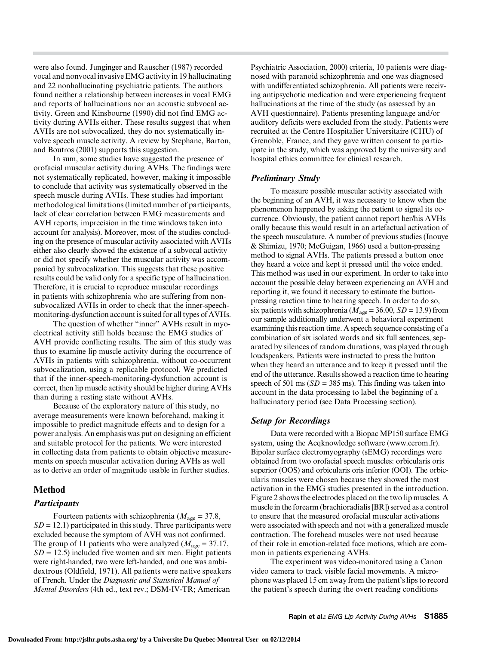were also found. Junginger and Rauscher (1987) recorded vocal and nonvocal invasive EMG activity in 19 hallucinating and 22 nonhallucinating psychiatric patients. The authors found neither a relationship between increases in vocal EMG and reports of hallucinations nor an acoustic subvocal activity. Green and Kinsbourne (1990) did not find EMG activity during AVHs either. These results suggest that when AVHs are not subvocalized, they do not systematically involve speech muscle activity. A review by Stephane, Barton, and Boutros (2001) supports this suggestion.

In sum, some studies have suggested the presence of orofacial muscular activity during AVHs. The findings were not systematically replicated, however, making it impossible to conclude that activity was systematically observed in the speech muscle during AVHs. These studies had important methodological limitations (limited number of participants, lack of clear correlation between EMG measurements and AVH reports, imprecision in the time windows taken into account for analysis). Moreover, most of the studies concluding on the presence of muscular activity associated with AVHs either also clearly showed the existence of a subvocal activity or did not specify whether the muscular activity was accompanied by subvocalization. This suggests that these positive results could be valid only for a specific type of hallucination. Therefore, it is crucial to reproduce muscular recordings in patients with schizophrenia who are suffering from nonsubvocalized AVHs in order to check that the inner-speechmonitoring-dysfunction account is suited for all types of AVHs.

The question of whether "inner" AVHs result in myoelectrical activity still holds because the EMG studies of AVH provide conflicting results. The aim of this study was thus to examine lip muscle activity during the occurrence of AVHs in patients with schizophrenia, without co-occurrent subvocalization, using a replicable protocol. We predicted that if the inner-speech-monitoring-dysfunction account is correct, then lip muscle activity should be higher during AVHs than during a resting state without AVHs.

Because of the exploratory nature of this study, no average measurements were known beforehand, making it impossible to predict magnitude effects and to design for a power analysis. An emphasis was put on designing an efficient and suitable protocol for the patients. We were interested in collecting data from patients to obtain objective measurements on speech muscular activation during AVHs as well as to derive an order of magnitude usable in further studies.

#### Method

#### **Participants**

Fourteen patients with schizophrenia ( $M_{\text{age}} = 37.8$ ,  $SD = 12.1$ ) participated in this study. Three participants were excluded because the symptom of AVH was not confirmed. The group of 11 patients who were analyzed ( $M_{\text{age}} = 37.17$ ,  $SD = 12.5$ ) included five women and six men. Eight patients were right-handed, two were left-handed, and one was ambidextrous (Oldfield, 1971). All patients were native speakers of French. Under the Diagnostic and Statistical Manual of Mental Disorders (4th ed., text rev.; DSM-IV-TR; American

Psychiatric Association, 2000) criteria, 10 patients were diagnosed with paranoid schizophrenia and one was diagnosed with undifferentiated schizophrenia. All patients were receiving antipsychotic medication and were experiencing frequent hallucinations at the time of the study (as assessed by an AVH questionnaire). Patients presenting language and/or auditory deficits were excluded from the study. Patients were recruited at the Centre Hospitalier Universitaire (CHU) of Grenoble, France, and they gave written consent to participate in the study, which was approved by the university and hospital ethics committee for clinical research.

#### Preliminary Study

To measure possible muscular activity associated with the beginning of an AVH, it was necessary to know when the phenomenon happened by asking the patient to signal its occurrence. Obviously, the patient cannot report her/his AVHs orally because this would result in an artefactual activation of the speech musculature. A number of previous studies (Inouye & Shimizu, 1970; McGuigan, 1966) used a button-pressing method to signal AVHs. The patients pressed a button once they heard a voice and kept it pressed until the voice ended. This method was used in our experiment. In order to take into account the possible delay between experiencing an AVH and reporting it, we found it necessary to estimate the buttonpressing reaction time to hearing speech. In order to do so, six patients with schizophrenia ( $M_{\text{age}} = 36.00$ ,  $SD = 13.9$ ) from our sample additionally underwent a behavioral experiment examining this reaction time. A speech sequence consisting of a combination of six isolated words and six full sentences, separated by silences of random durations, was played through loudspeakers. Patients were instructed to press the button when they heard an utterance and to keep it pressed until the end of the utterance. Results showed a reaction time to hearing speech of 501 ms ( $SD = 385$  ms). This finding was taken into account in the data processing to label the beginning of a hallucinatory period (see Data Processing section).

#### Setup for Recordings

Data were recorded with a Biopac MP150 surface EMG system, using the Acqknowledge software (www.cerom.fr). Bipolar surface electromyography (sEMG) recordings were obtained from two orofacial speech muscles: orbicularis oris superior (OOS) and orbicularis oris inferior (OOI). The orbicularis muscles were chosen because they showed the most activation in the EMG studies presented in the introduction. Figure 2 shows the electrodes placed on the two lip muscles. A muscle in the forearm (brachioradialis [BR]) served as a control to ensure that the measured orofacial muscular activations were associated with speech and not with a generalized muscle contraction. The forehead muscles were not used because of their role in emotion-related face motions, which are common in patients experiencing AVHs.

The experiment was video-monitored using a Canon video camera to track visible facial movements. A microphone was placed 15 cm away from the patient's lips to record the patient's speech during the overt reading conditions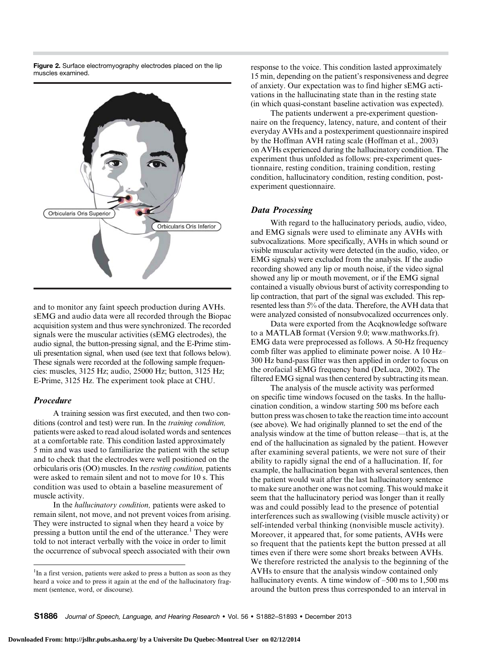Figure 2. Surface electromyography electrodes placed on the lip muscles examined.



and to monitor any faint speech production during AVHs. sEMG and audio data were all recorded through the Biopac acquisition system and thus were synchronized. The recorded signals were the muscular activities (sEMG electrodes), the audio signal, the button-pressing signal, and the E-Prime stimuli presentation signal, when used (see text that follows below). These signals were recorded at the following sample frequencies: muscles, 3125 Hz; audio, 25000 Hz; button, 3125 Hz; E-Prime, 3125 Hz. The experiment took place at CHU.

## Procedure

A training session was first executed, and then two conditions (control and test) were run. In the training condition, patients were asked to read aloud isolated words and sentences at a comfortable rate. This condition lasted approximately 5 min and was used to familiarize the patient with the setup and to check that the electrodes were well positioned on the orbicularis oris (OO) muscles. In the resting condition, patients were asked to remain silent and not to move for 10 s. This condition was used to obtain a baseline measurement of muscle activity.

In the hallucinatory condition, patients were asked to remain silent, not move, and not prevent voices from arising. They were instructed to signal when they heard a voice by pressing a button until the end of the utterance.<sup>1</sup> They were told to not interact verbally with the voice in order to limit the occurrence of subvocal speech associated with their own

response to the voice. This condition lasted approximately 15 min, depending on the patient's responsiveness and degree of anxiety. Our expectation was to find higher sEMG activations in the hallucinating state than in the resting state (in which quasi-constant baseline activation was expected).

The patients underwent a pre-experiment questionnaire on the frequency, latency, nature, and content of their everyday AVHs and a postexperiment questionnaire inspired by the Hoffman AVH rating scale (Hoffman et al., 2003) on AVHs experienced during the hallucinatory condition. The experiment thus unfolded as follows: pre-experiment questionnaire, resting condition, training condition, resting condition, hallucinatory condition, resting condition, postexperiment questionnaire.

#### Data Processing

With regard to the hallucinatory periods, audio, video, and EMG signals were used to eliminate any AVHs with subvocalizations. More specifically, AVHs in which sound or visible muscular activity were detected (in the audio, video, or EMG signals) were excluded from the analysis. If the audio recording showed any lip or mouth noise, if the video signal showed any lip or mouth movement, or if the EMG signal contained a visually obvious burst of activity corresponding to lip contraction, that part of the signal was excluded. This represented less than 5% of the data. Therefore, the AVH data that were analyzed consisted of nonsubvocalized occurrences only.

Data were exported from the Acqknowledge software to a MATLAB format (Version 9.0; www.mathworks.fr). EMG data were preprocessed as follows. A 50-Hz frequency comb filter was applied to eliminate power noise. A 10 Hz– 300 Hz band-pass filter was then applied in order to focus on the orofacial sEMG frequency band (DeLuca, 2002). The filtered EMG signal was then centered by subtracting its mean.

The analysis of the muscle activity was performed on specific time windows focused on the tasks. In the hallucination condition, a window starting 500 ms before each button press was chosen to take the reaction time into account (see above). We had originally planned to set the end of the analysis window at the time of button release—that is, at the end of the hallucination as signaled by the patient. However after examining several patients, we were not sure of their ability to rapidly signal the end of a hallucination. If, for example, the hallucination began with several sentences, then the patient would wait after the last hallucinatory sentence to make sure another one was not coming. This would make it seem that the hallucinatory period was longer than it really was and could possibly lead to the presence of potential interferences such as swallowing (visible muscle activity) or self-intended verbal thinking (nonvisible muscle activity). Moreover, it appeared that, for some patients, AVHs were so frequent that the patients kept the button pressed at all times even if there were some short breaks between AVHs. We therefore restricted the analysis to the beginning of the AVHs to ensure that the analysis window contained only hallucinatory events. A time window of –500 ms to 1,500 ms around the button press thus corresponded to an interval in

S1886 Journal of Speech, Language, and Hearing Research • Vol. 56 • S1882–S1893 • December 2013

<sup>&</sup>lt;sup>1</sup>In a first version, patients were asked to press a button as soon as they heard a voice and to press it again at the end of the hallucinatory fragment (sentence, word, or discourse).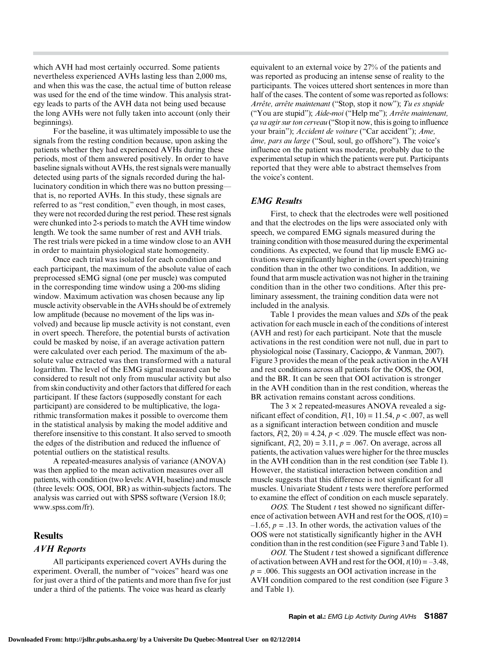which AVH had most certainly occurred. Some patients nevertheless experienced AVHs lasting less than 2,000 ms, and when this was the case, the actual time of button release was used for the end of the time window. This analysis strategy leads to parts of the AVH data not being used because the long AVHs were not fully taken into account (only their beginnings).

For the baseline, it was ultimately impossible to use the signals from the resting condition because, upon asking the patients whether they had experienced AVHs during these periods, most of them answered positively. In order to have baseline signals without AVHs, the rest signals were manually detected using parts of the signals recorded during the hallucinatory condition in which there was no button pressing that is, no reported AVHs. In this study, these signals are referred to as "rest condition," even though, in most cases, they were not recorded during the rest period. These rest signals were chunked into 2-s periods to match the AVH time window length. We took the same number of rest and AVH trials. The rest trials were picked in a time window close to an AVH in order to maintain physiological state homogeneity.

Once each trial was isolated for each condition and each participant, the maximum of the absolute value of each preprocessed sEMG signal (one per muscle) was computed in the corresponding time window using a 200-ms sliding window. Maximum activation was chosen because any lip muscle activity observable in the AVHs should be of extremely low amplitude (because no movement of the lips was involved) and because lip muscle activity is not constant, even in overt speech. Therefore, the potential bursts of activation could be masked by noise, if an average activation pattern were calculated over each period. The maximum of the absolute value extracted was then transformed with a natural logarithm. The level of the EMG signal measured can be considered to result not only from muscular activity but also from skin conductivity and other factors that differed for each participant. If these factors (supposedly constant for each participant) are considered to be multiplicative, the logarithmic transformation makes it possible to overcome them in the statistical analysis by making the model additive and therefore insensitive to this constant. It also served to smooth the edges of the distribution and reduced the influence of potential outliers on the statistical results.

A repeated-measures analysis of variance (ANOVA) was then applied to the mean activation measures over all patients, with condition (two levels: AVH, baseline) and muscle (three levels: OOS, OOI, BR) as within-subjects factors. The analysis was carried out with SPSS software (Version 18.0; www.spss.com/fr).

#### **Results**

#### AVH Reports

All participants experienced covert AVHs during the experiment. Overall, the number of "voices" heard was one for just over a third of the patients and more than five for just under a third of the patients. The voice was heard as clearly

equivalent to an external voice by 27% of the patients and was reported as producing an intense sense of reality to the participants. The voices uttered short sentences in more than half of the cases. The content of some was reported as follows: Arrête, arrête maintenant ("Stop, stop it now"); Tu es stupide ("You are stupid"); Aide-moi ("Help me"); Arrête maintenant, *0*a va agir sur ton cerveau ("Stop it now, this is going to influence your brain"); Accident de voiture ("Car accident"); Ame, âme, pars au large ("Soul, soul, go offshore"). The voice's influence on the patient was moderate, probably due to the experimental setup in which the patients were put. Participants reported that they were able to abstract themselves from the voice's content.

#### EMG Results

First, to check that the electrodes were well positioned and that the electrodes on the lips were associated only with speech, we compared EMG signals measured during the training condition with those measured during the experimental conditions. As expected, we found that lip muscle EMG activations were significantly higher in the (overt speech) training condition than in the other two conditions. In addition, we found that arm muscle activation was not higher in the training condition than in the other two conditions. After this preliminary assessment, the training condition data were not included in the analysis.

Table 1 provides the mean values and SDs of the peak activation for each muscle in each of the conditions of interest (AVH and rest) for each participant. Note that the muscle activations in the rest condition were not null, due in part to physiological noise (Tassinary, Cacioppo, & Vanman, 2007). Figure 3 provides the mean of the peak activation in the AVH and rest conditions across all patients for the OOS, the OOI, and the BR. It can be seen that OOI activation is stronger in the AVH condition than in the rest condition, whereas the BR activation remains constant across conditions.

The  $3 \times 2$  repeated-measures ANOVA revealed a significant effect of condition,  $F(1, 10) = 11.54$ ,  $p < .007$ , as well as a significant interaction between condition and muscle factors,  $F(2, 20) = 4.24$ ,  $p < .029$ . The muscle effect was nonsignificant,  $F(2, 20) = 3.11$ ,  $p = .067$ . On average, across all patients, the activation values were higher for the three muscles in the AVH condition than in the rest condition (see Table 1). However, the statistical interaction between condition and muscle suggests that this difference is not significant for all muscles. Univariate Student t tests were therefore performed to examine the effect of condition on each muscle separately.

OOS. The Student t test showed no significant difference of activation between AVH and rest for the OOS,  $t(10)$  =  $-1.65$ ,  $p = .13$ . In other words, the activation values of the OOS were not statistically significantly higher in the AVH condition than in the rest condition (see Figure 3 and Table 1).

OOI. The Student t test showed a significant difference of activation between AVH and rest for the OOI,  $t(10) = -3.48$ ,  $p = .006$ . This suggests an OOI activation increase in the AVH condition compared to the rest condition (see Figure 3 and Table 1).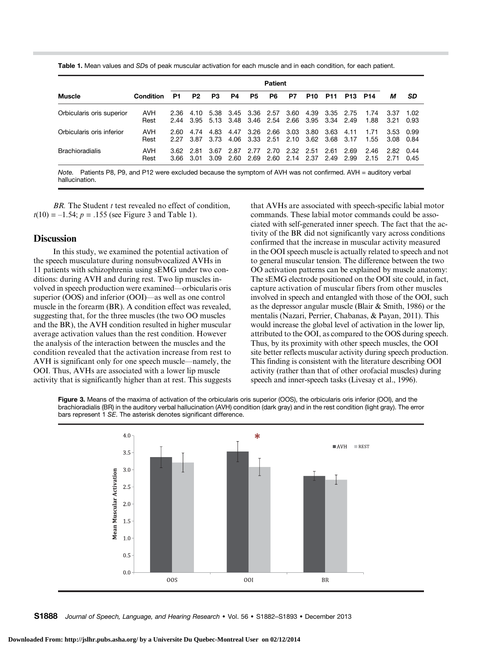Table 1. Mean values and SDs of peak muscular activation for each muscle and in each condition, for each patient.

|                                                                                                                                    |                    | <b>Patient</b> |                |                                  |              |              |                   |              |               |                        |              |                                 |              |              |
|------------------------------------------------------------------------------------------------------------------------------------|--------------------|----------------|----------------|----------------------------------|--------------|--------------|-------------------|--------------|---------------|------------------------|--------------|---------------------------------|--------------|--------------|
| <b>Muscle</b>                                                                                                                      | Condition          | P1             | P <sub>2</sub> | P3                               | P4           | P5           | P6                | P7           | P10           | <b>P11</b>             |              | P <sub>13</sub> P <sub>14</sub> | м            | <b>SD</b>    |
| Orbicularis oris superior                                                                                                          | AVH<br>Rest        | 2.36<br>2.44   | 4.10           | 5.38 3.45 3.36 2.57<br>3.95 5.13 | 3.48         | 3.46         | 2.54              | 3.60<br>2.66 | 4.39<br>3.95  | 3.35 2.75<br>3.34 2.49 |              | 1.74<br>1.88                    | 3.37<br>3.21 | 1.02<br>0.93 |
| Orbicularis oris inferior                                                                                                          | <b>AVH</b><br>Rest | 2.60<br>227    | 4.74<br>3.87   | 4.83<br>3.73                     | 4.47<br>4.06 | 3.33         | 3.26 2.66<br>2.51 | 3.03<br>2.10 | -3.80<br>3.62 | -3.63<br>3.68 3.17     | 4.11         | 1.71<br>1.55                    | 3.53<br>3.08 | 0.84         |
| <b>Brachioradialis</b>                                                                                                             | <b>AVH</b><br>Rest | 3.62<br>3.66   | 2.81<br>-3.01  | 3.67<br>3.09                     | 2.87<br>2.60 | 2.77<br>2.69 | 2.70<br>2.60      | 2.32<br>2.14 | 2.51<br>2.37  | 2.61<br>2.49           | 2.69<br>2.99 | 2.46<br>2.15                    | 2.82<br>2.71 | 0.44<br>0.45 |
| Note. Patients P8, P9, and P12 were excluded because the symptom of AVH was not confirmed. AVH = auditory verbal<br>hallucination. |                    |                |                |                                  |              |              |                   |              |               |                        |              |                                 |              |              |

BR. The Student  $t$  test revealed no effect of condition,  $t(10) = -1.54$ ;  $p = .155$  (see Figure 3 and Table 1).

#### **Discussion**

In this study, we examined the potential activation of the speech musculature during nonsubvocalized AVHs in 11 patients with schizophrenia using sEMG under two conditions: during AVH and during rest. Two lip muscles involved in speech production were examined—orbicularis oris superior (OOS) and inferior (OOI)—as well as one control muscle in the forearm (BR). A condition effect was revealed, suggesting that, for the three muscles (the two OO muscles and the BR), the AVH condition resulted in higher muscular average activation values than the rest condition. However the analysis of the interaction between the muscles and the condition revealed that the activation increase from rest to AVH is significant only for one speech muscle—namely, the OOI. Thus, AVHs are associated with a lower lip muscle activity that is significantly higher than at rest. This suggests that AVHs are associated with speech-specific labial motor commands. These labial motor commands could be associated with self-generated inner speech. The fact that the activity of the BR did not significantly vary across conditions confirmed that the increase in muscular activity measured in the OOI speech muscle is actually related to speech and not to general muscular tension. The difference between the two OO activation patterns can be explained by muscle anatomy: The sEMG electrode positioned on the OOI site could, in fact, capture activation of muscular fibers from other muscles involved in speech and entangled with those of the OOI, such as the depressor angular muscle (Blair & Smith, 1986) or the mentalis (Nazari, Perrier, Chabanas, & Payan, 2011). This would increase the global level of activation in the lower lip, attributed to the OOI, as compared to the OOS during speech. Thus, by its proximity with other speech muscles, the OOI site better reflects muscular activity during speech production. This finding is consistent with the literature describing OOI activity (rather than that of other orofacial muscles) during speech and inner-speech tasks (Livesay et al., 1996).

Figure 3. Means of the maxima of activation of the orbicularis oris superior (OOS), the orbicularis oris inferior (OOI), and the brachioradialis (BR) in the auditory verbal hallucination (AVH) condition (dark gray) and in the rest condition (light gray). The error bars represent 1 SE. The asterisk denotes significant difference.



S1888 Journal of Speech, Language, and Hearing Research • Vol. 56 • S1882–S1893 • December 2013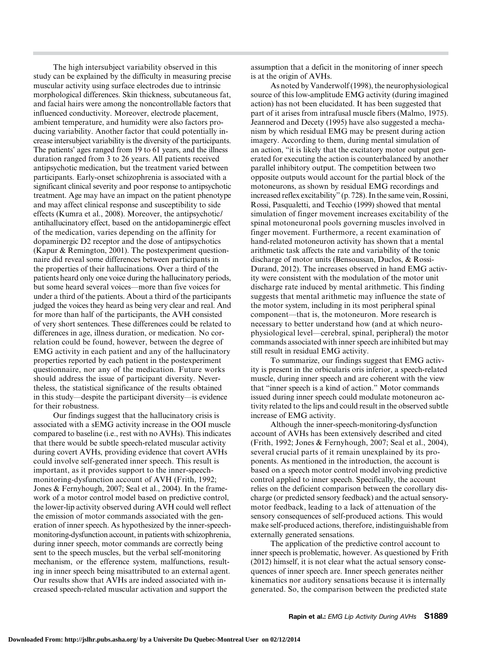The high intersubject variability observed in this study can be explained by the difficulty in measuring precise muscular activity using surface electrodes due to intrinsic morphological differences. Skin thickness, subcutaneous fat, and facial hairs were among the noncontrollable factors that influenced conductivity. Moreover, electrode placement, ambient temperature, and humidity were also factors producing variability. Another factor that could potentially increase intersubject variability is the diversity of the participants. The patients' ages ranged from 19 to 61 years, and the illness duration ranged from 3 to 26 years. All patients received antipsychotic medication, but the treatment varied between participants. Early-onset schizophrenia is associated with a significant clinical severity and poor response to antipsychotic treatment. Age may have an impact on the patient phenotype and may affect clinical response and susceptibility to side effects (Kumra et al., 2008). Moreover, the antipsychotic/ antihallucinatory effect, based on the antidopaminergic effect of the medication, varies depending on the affinity for dopaminergic D2 receptor and the dose of antipsychotics (Kapur & Remington, 2001). The postexperiment questionnaire did reveal some differences between participants in the properties of their hallucinations. Over a third of the patients heard only one voice during the hallucinatory periods, but some heard several voices—more than five voices for under a third of the patients. About a third of the participants judged the voices they heard as being very clear and real. And for more than half of the participants, the AVH consisted of very short sentences. These differences could be related to differences in age, illness duration, or medication. No correlation could be found, however, between the degree of EMG activity in each patient and any of the hallucinatory properties reported by each patient in the postexperiment questionnaire, nor any of the medication. Future works should address the issue of participant diversity. Nevertheless, the statistical significance of the results obtained in this study—despite the participant diversity—is evidence for their robustness.

Our findings suggest that the hallucinatory crisis is associated with a sEMG activity increase in the OOI muscle compared to baseline (i.e., rest with no AVHs). This indicates that there would be subtle speech-related muscular activity during covert AVHs, providing evidence that covert AVHs could involve self-generated inner speech. This result is important, as it provides support to the inner-speechmonitoring-dysfunction account of AVH (Frith, 1992; Jones & Fernyhough, 2007; Seal et al., 2004). In the framework of a motor control model based on predictive control, the lower-lip activity observed during AVH could well reflect the emission of motor commands associated with the generation of inner speech. As hypothesized by the inner-speechmonitoring-dysfunction account, in patients with schizophrenia, during inner speech, motor commands are correctly being sent to the speech muscles, but the verbal self-monitoring mechanism, or the efference system, malfunctions, resulting in inner speech being misattributed to an external agent. Our results show that AVHs are indeed associated with increased speech-related muscular activation and support the

assumption that a deficit in the monitoring of inner speech is at the origin of AVHs.

As noted by Vanderwolf (1998), the neurophysiological source of this low-amplitude EMG activity (during imagined action) has not been elucidated. It has been suggested that part of it arises from intrafusal muscle fibers (Malmo, 1975). Jeannerod and Decety (1995) have also suggested a mechanism by which residual EMG may be present during action imagery. According to them, during mental simulation of an action, "it is likely that the excitatory motor output generated for executing the action is counterbalanced by another parallel inhibitory output. The competition between two opposite outputs would account for the partial block of the motoneurons, as shown by residual EMG recordings and increased reflex excitability" (p. 728). In the same vein, Rossini, Rossi, Pasqualetti, and Tecchio (1999) showed that mental simulation of finger movement increases excitability of the spinal motoneuronal pools governing muscles involved in finger movement. Furthermore, a recent examination of hand-related motoneuron activity has shown that a mental arithmetic task affects the rate and variability of the tonic discharge of motor units (Bensoussan, Duclos, & Rossi-Durand, 2012). The increases observed in hand EMG activity were consistent with the modulation of the motor unit discharge rate induced by mental arithmetic. This finding suggests that mental arithmetic may influence the state of the motor system, including in its most peripheral spinal component—that is, the motoneuron. More research is necessary to better understand how (and at which neurophysiological level—cerebral, spinal, peripheral) the motor commands associated with inner speech are inhibited but may still result in residual EMG activity.

To summarize, our findings suggest that EMG activity is present in the orbicularis oris inferior, a speech-related muscle, during inner speech and are coherent with the view that "inner speech is a kind of action." Motor commands issued during inner speech could modulate motoneuron activity related to the lips and could result in the observed subtle increase of EMG activity.

Although the inner-speech-monitoring-dysfunction account of AVHs has been extensively described and cited (Frith, 1992; Jones & Fernyhough, 2007; Seal et al., 2004), several crucial parts of it remain unexplained by its proponents. As mentioned in the introduction, the account is based on a speech motor control model involving predictive control applied to inner speech. Specifically, the account relies on the deficient comparison between the corollary discharge (or predicted sensory feedback) and the actual sensorymotor feedback, leading to a lack of attenuation of the sensory consequences of self-produced actions. This would make self-produced actions, therefore, indistinguishable from externally generated sensations.

The application of the predictive control account to inner speech is problematic, however. As questioned by Frith (2012) himself, it is not clear what the actual sensory consequences of inner speech are. Inner speech generates neither kinematics nor auditory sensations because it is internally generated. So, the comparison between the predicted state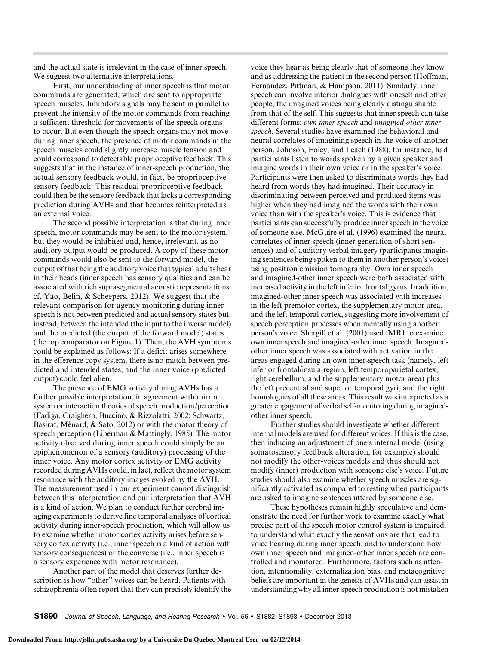and the actual state is irrelevant in the case of inner speech. We suggest two alternative interpretations.

First, our understanding of inner speech is that motor commands are generated, which are sent to appropriate speech muscles. Inhibitory signals may be sent in parallel to prevent the intensity of the motor commands from reaching a sufficient threshold for movements of the speech organs to occur. But even though the speech organs may not move during inner speech, the presence of motor commands in the speech muscles could slightly increase muscle tension and could correspond to detectable proprioceptive feedback. This suggests that in the instance of inner-speech production, the actual sensory feedback would, in fact, be proprioceptive sensory feedback. This residual proprioceptive feedback could then be the sensory feedback that lacks a corresponding prediction during AVHs and that becomes reinterpreted as an external voice.

The second possible interpretation is that during inner speech, motor commands may be sent to the motor system, but they would be inhibited and, hence, irrelevant, as no auditory output would be produced. A copy of these motor commands would also be sent to the forward model, the output of that being the auditory voice that typical adults hear in their heads (inner speech has sensory qualities and can be associated with rich suprasegmental acoustic representations; cf. Yao, Belin, & Scheepers, 2012). We suggest that the relevant comparison for agency monitoring during inner speech is not between predicted and actual sensory states but, instead, between the intended (the input to the inverse model) and the predicted (the output of the forward model) states (the top comparator on Figure 1). Then, the AVH symptoms could be explained as follows: If a deficit arises somewhere in the efference copy system, there is no match between predicted and intended states, and the inner voice (predicted output) could feel alien.

The presence of EMG activity during AVHs has a further possible interpretation, in agreement with mirror system or interaction theories of speech production/perception (Fadiga, Craighero, Buccino, & Rizzolatti, 2002; Schwartz, Basirat, Ménard, & Sato, 2012) or with the motor theory of speech perception (Liberman & Mattingly, 1985). The motor activity observed during inner speech could simply be an epiphenomenon of a sensory (auditory) processing of the inner voice. Any motor cortex activity or EMG activity recorded during AVHs could, in fact, reflect the motor system resonance with the auditory images evoked by the AVH. The measurement used in our experiment cannot distinguish between this interpretation and our interpretation that AVH is a kind of action. We plan to conduct further cerebral imaging experiments to derive fine temporal analyses of cortical activity during inner-speech production, which will allow us to examine whether motor cortex activity arises before sensory cortex activity (i.e., inner speech is a kind of action with sensory consequences) or the converse (i.e., inner speech is a sensory experience with motor resonance).

Another part of the model that deserves further description is how "other" voices can be heard. Patients with schizophrenia often report that they can precisely identify the voice they hear as being clearly that of someone they know and as addressing the patient in the second person (Hoffman, Fernandez, Pittman, & Hampson, 2011). Similarly, inner speech can involve interior dialogues with oneself and other people, the imagined voices being clearly distinguishable from that of the self. This suggests that inner speech can take different forms: own inner speech and imagined-other inner speech. Several studies have examined the behavioral and neural correlates of imagining speech in the voice of another person. Johnson, Foley, and Leach (1988), for instance, had participants listen to words spoken by a given speaker and imagine words in their own voice or in the speaker's voice. Participants were then asked to discriminate words they had heard from words they had imagined. Their accuracy in discriminating between perceived and produced items was higher when they had imagined the words with their own voice than with the speaker's voice. This is evidence that participants can successfully produce inner speech in the voice of someone else. McGuire et al. (1996) examined the neural correlates of inner speech (inner generation of short sentences) and of auditory verbal imagery (participants imagining sentences being spoken to them in another person's voice) using positron emission tomography. Own inner speech and imagined-other inner speech were both associated with increased activity in the left inferior frontal gyrus. In addition, imagined-other inner speech was associated with increases in the left premotor cortex, the supplementary motor area, and the left temporal cortex, suggesting more involvement of speech perception processes when mentally using another person's voice. Shergill et al. (2001) used fMRI to examine own inner speech and imagined-other inner speech. Imaginedother inner speech was associated with activation in the areas engaged during an own inner-speech task (namely, left inferior frontal/insula region, left temporoparietal cortex, right cerebellum, and the supplementary motor area) plus the left precentral and superior temporal gyri, and the right homologues of all these areas. This result was interpreted as a greater engagement of verbal self-monitoring during imaginedother inner speech.

Further studies should investigate whether different internal models are used for different voices. If this is the case, then inducing an adjustment of one's internal model (using somatosensory feedback alteration, for example) should not modify the other-voices models and thus should not modify (inner) production with someone else's voice. Future studies should also examine whether speech muscles are significantly activated as compared to resting when participants are asked to imagine sentences uttered by someone else.

These hypotheses remain highly speculative and demonstrate the need for further work to examine exactly what precise part of the speech motor control system is impaired, to understand what exactly the sensations are that lead to voice hearing during inner speech, and to understand how own inner speech and imagined-other inner speech are controlled and monitored. Furthermore, factors such as attention, intentionality, externalization bias, and metacognitive beliefs are important in the genesis of AVHs and can assist in understanding why all inner-speech production is not mistaken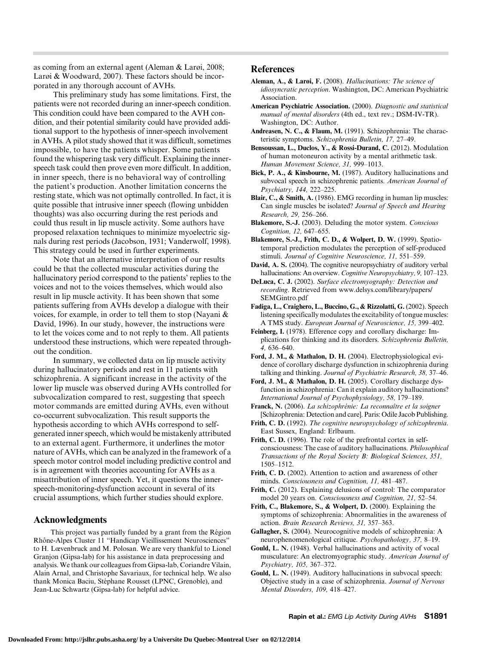as coming from an external agent (Aleman & Larøi, 2008; Larøi & Woodward, 2007). These factors should be incorporated in any thorough account of AVHs.

This preliminary study has some limitations. First, the patients were not recorded during an inner-speech condition. This condition could have been compared to the AVH condition, and their potential similarity could have provided additional support to the hypothesis of inner-speech involvement in AVHs. A pilot study showed that it was difficult, sometimes impossible, to have the patients whisper. Some patients found the whispering task very difficult. Explaining the innerspeech task could then prove even more difficult. In addition, in inner speech, there is no behavioral way of controlling the patient's production. Another limitation concerns the resting state, which was not optimally controlled. In fact, it is quite possible that intrusive inner speech (flowing unbidden thoughts) was also occurring during the rest periods and could thus result in lip muscle activity. Some authors have proposed relaxation techniques to minimize myoelectric signals during rest periods (Jacobson, 1931; Vanderwolf, 1998). This strategy could be used in further experiments.

Note that an alternative interpretation of our results could be that the collected muscular activities during the hallucinatory period correspond to the patients' replies to the voices and not to the voices themselves, which would also result in lip muscle activity. It has been shown that some patients suffering from AVHs develop a dialogue with their voices, for example, in order to tell them to stop (Nayani & David, 1996). In our study, however, the instructions were to let the voices come and to not reply to them. All patients understood these instructions, which were repeated throughout the condition.

In summary, we collected data on lip muscle activity during hallucinatory periods and rest in 11 patients with schizophrenia. A significant increase in the activity of the lower lip muscle was observed during AVHs controlled for subvocalization compared to rest, suggesting that speech motor commands are emitted during AVHs, even without co-occurrent subvocalization. This result supports the hypothesis according to which AVHs correspond to selfgenerated inner speech, which would be mistakenly attributed to an external agent. Furthermore, it underlines the motor nature of AVHs, which can be analyzed in the framework of a speech motor control model including predictive control and is in agreement with theories accounting for AVHs as a misattribution of inner speech. Yet, it questions the innerspeech-monitoring-dysfunction account in several of its crucial assumptions, which further studies should explore.

#### Acknowledgments

This project was partially funded by a grant from the Région Rhône-Alpes Cluster 11 "Handicap Vieillissement Neurosciences" to H. Lœvenbruck and M. Polosan. We are very thankful to Lionel Granjon (Gipsa-lab) for his assistance in data preprocessing and analysis. We thank our colleagues from Gipsa-lab, Coriandre Vilain, Alain Arnal, and Christophe Savariaux, for technical help. We also thank Monica Baciu, Stéphane Rousset (LPNC, Grenoble), and Jean-Luc Schwartz (Gipsa-lab) for helpful advice.

### **References**

- Aleman, A., & Larøi, F. (2008). Hallucinations: The science of idiosyncratic perception. Washington, DC: American Psychiatric Association.
- American Psychiatric Association. (2000). Diagnostic and statistical manual of mental disorders (4th ed., text rev.; DSM-IV-TR). Washington, DC: Author.
- Andreasen, N. C., & Flaum, M. (1991). Schizophrenia: The characteristic symptoms. Schizophrenia Bulletin, 17, 27–49.
- Bensoussan, L., Duclos, Y., & Rossi-Durand, C. (2012). Modulation of human motoneuron activity by a mental arithmetic task. Human Movement Science, 31, 999–1013.
- Bick, P. A., & Kinsbourne, M. (1987). Auditory hallucinations and subvocal speech in schizophrenic patients. American Journal of Psychiatry, 144, 222–225.
- Blair, C., & Smith, A. (1986). EMG recording in human lip muscles: Can single muscles be isolated? Journal of Speech and Hearing Research, 29, 256–266.
- Blakemore, S.-J. (2003). Deluding the motor system. Conscious Cognition, 12, 647–655.
- Blakemore, S.-J., Frith, C. D., & Wolpert, D. W. (1999). Spatiotemporal prediction modulates the perception of self-produced stimuli. Journal of Cognitive Neuroscience, 11, 551–559.
- David, A. S. (2004). The cognitive neuropsychiatry of auditory verbal hallucinations: An overview. Cognitive Neuropsychiatry, 9, 107-123.
- DeLuca, C. J. (2002). Surface electromyography: Detection and recording. Retrieved from www.delsys.com/library/papers/ SEMGintro.pdf
- Fadiga, L., Craighero, L., Buccino, G., & Rizzolatti, G. (2002). Speech listening specifically modulates the excitability of tongue muscles: A TMS study. European Journal of Neuroscience, 15, 399–402.
- Feinberg, I. (1978). Efference copy and corollary discharge: Implications for thinking and its disorders. Schizophrenia Bulletin, 4, 636–640.
- Ford, J. M., & Mathalon, D. H. (2004). Electrophysiological evidence of corollary discharge dysfunction in schizophrenia during talking and thinking. Journal of Psychiatric Research, 38, 37–46.
- Ford, J. M., & Mathalon, D. H. (2005). Corollary discharge dysfunction in schizophrenia: Can it explain auditory hallucinations? International Journal of Psychophysiology, 58, 179–189.
- Franck, N. (2006). La schizophrénie: La reconnaître et la soigner [Schizophrenia: Detection and care]. Paris: Odile Jacob Publishing.
- Frith, C. D. (1992). The cognitive neuropsychology of schizophrenia. East Sussex, England: Erlbaum.
- Frith, C. D. (1996). The role of the prefrontal cortex in selfconsciousness: The case of auditory hallucinations. Philosophical Transactions of the Royal Society B: Biological Sciences, 351, 1505–1512.
- Frith, C. D. (2002). Attention to action and awareness of other minds. Consciousness and Cognition, 11, 481–487.
- Frith, C. (2012). Explaining delusions of control: The comparator model 20 years on. Consciousness and Cognition, 21, 52–54.
- Frith, C., Blakemore, S., & Wolpert, D. (2000). Explaining the symptoms of schizophrenia: Abnormalities in the awareness of action. Brain Research Reviews, 31, 357–363.
- Gallagher, S. (2004). Neurocognitive models of schizophrenia: A neurophenomenological critique. Psychopathology, 37, 8–19.
- Gould, L. N. (1948). Verbal hallucinations and activity of vocal musculature: An electromyographic study. American Journal of Psychiatry, 105, 367–372.
- Gould, L. N. (1949). Auditory hallucinations in subvocal speech: Objective study in a case of schizophrenia. Journal of Nervous Mental Disorders, 109, 418–427.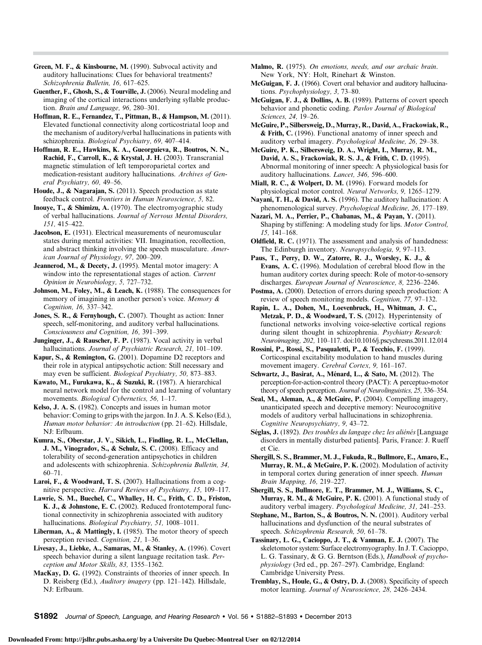Green, M. F., & Kinsbourne, M. (1990). Subvocal activity and auditory hallucinations: Clues for behavioral treatments? Schizophrenia Bulletin, 16, 617–625.

Guenther, F., Ghosh, S., & Tourville, J. (2006). Neural modeling and imaging of the cortical interactions underlying syllable production. Brain and Language, 96, 280–301.

Hoffman, R. E., Fernandez, T., Pittman, B., & Hampson, M. (2011). Elevated functional connectivity along corticostriatal loop and the mechanism of auditory/verbal hallucinations in patients with schizophrenia. Biological Psychiatry, 69, 407–414.

Hoffman, R. E., Hawkins, K. A., Gueorguieva, R., Boutros, N. N., Rachid, F., Carroll, K., & Krystal, J. H. (2003). Transcranial magnetic stimulation of left temporoparietal cortex and medication-resistant auditory hallucinations. Archives of General Psychiatry, 60, 49–56.

Houde, J., & Nagarajan, S. (2011). Speech production as state feedback control. Frontiers in Human Neuroscience, 5, 82.

Inouye, T., & Shimizu, A. (1970). The electromyographic study of verbal hallucinations. Journal of Nervous Mental Disorders, 151, 415–422.

Jacobson, E. (1931). Electrical measurements of neuromuscular states during mental activities: VII. Imagination, recollection, and abstract thinking involving the speech musculature. American Journal of Physiology, 97, 200–209.

Jeannerod, M., & Decety, J. (1995). Mental motor imagery: A window into the representational stages of action. Current Opinion in Neurobiology, 5, 727–732.

Johnson, M., Foley, M., & Leach, K. (1988). The consequences for memory of imagining in another person's voice. Memory & Cognition, 16, 337–342.

Jones, S. R., & Fernyhough, C. (2007). Thought as action: Inner speech, self-monitoring, and auditory verbal hallucinations. Consciousness and Cognition, 16, 391–399.

Junginger, J., & Rauscher, F. P. (1987). Vocal activity in verbal hallucinations. Journal of Psychiatric Research, 21, 101-109.

Kapur, S., & Remington, G. (2001). Dopamine D2 receptors and their role in atypical antipsychotic action: Still necessary and may even be sufficient. *Biological Psychiatry*, 50, 873–883.

Kawato, M., Furukawa, K., & Suzuki, R. (1987). A hierarchical neural network model for the control and learning of voluntary movements. *Biological Cybernetics*, 56, 1-17.

Kelso, J. A. S. (1982). Concepts and issues in human motor behavior: Coming to grips with the jargon. In J. A. S. Kelso (Ed.), Human motor behavior: An introduction (pp. 21–62). Hillsdale, NJ: Erlbaum.

Kumra, S., Oberstar, J. V., Sikich, L., Findling, R. L., McClellan, J. M., Vinogradov, S., & Schulz, S. C. (2008). Efficacy and tolerability of second-generation antipsychotics in children and adolescents with schizophrenia. Schizophrenia Bulletin, 34, 60–71.

Larøi, F., & Woodward, T. S. (2007). Hallucinations from a cognitive perspective. Harvard Reviews of Psychiatry, 15, 109–117.

Lawrie, S. M., Buechel, C., Whalley, H. C., Frith, C. D., Friston, K. J., & Johnstone, E. C. (2002). Reduced frontotemporal functional connectivity in schizophrenia associated with auditory hallucinations. *Biological Psychiatry*, 51, 1008-1011.

Liberman, A., & Mattingly, I. (1985). The motor theory of speech perception revised. Cognition, 21, 1–36.

Livesay, J., Liebke, A., Samaras, M., & Stanley, A. (1996). Covert speech behavior during a silent language recitation task. Perception and Motor Skills, 83, 1355–1362.

MacKay, D. G. (1992). Constraints of theories of inner speech. In D. Reisberg (Ed.), Auditory imagery (pp. 121–142). Hillsdale, NJ: Erlbaum.

Malmo, R. (1975). On emotions, needs, and our archaic brain. New York, NY: Holt, Rinehart & Winston.

McGuigan, F. J. (1966). Covert oral behavior and auditory hallucinations. Psychophysiology, 3, 73–80.

McGuigan, F. J., & Dollins, A. B. (1989). Patterns of covert speech behavior and phonetic coding. Pavlov Journal of Biological Sciences, 24, 19–26.

McGuire, P., Silbersweig, D., Murray, R., David, A., Frackowiak, R., & Frith, C. (1996). Functional anatomy of inner speech and auditory verbal imagery. Psychological Medicine, 26, 29–38.

McGuire, P. K., Silbersweig, D. A., Wright, I., Murray, R. M., David, A. S., Frackowiak, R. S. J., & Frith, C. D. (1995). Abnormal monitoring of inner speech: A physiological basis for auditory hallucinations. Lancet, 346, 596–600.

Miall, R. C., & Wolpert, D. M. (1996). Forward models for physiological motor control. Neural Networks, 9, 1265–1279.

Nayani, T. H., & David, A. S. (1996). The auditory hallucination: A phenomenological survey. Psychological Medicine, 26, 177–189.

Nazari, M. A., Perrier, P., Chabanas, M., & Payan, Y. (2011). Shaping by stiffening: A modeling study for lips. Motor Control, 15, 141–168.

Oldfield, R. C. (1971). The assessment and analysis of handedness: The Edinburgh inventory. Neuropsychologia, 9, 97–113.

Paus, T., Perry, D. W., Zatorre, R. J., Worsley, K. J., & Evans, A. C. (1996). Modulation of cerebral blood flow in the human auditory cortex during speech: Role of motor-to-sensory discharges. European Journal of Neuroscience, 8, 2236–2246.

Postma, A. (2000). Detection of errors during speech production: A review of speech monitoring models. Cognition, 77, 97–132.

Rapin, L. A., Dohen, M., Loevenbruck, H., Whitman, J. C., Metzak, P. D., & Woodward, T. S. (2012). Hyperintensity of functional networks involving voice-selective cortical regions during silent thought in schizophrenia. Psychiatry Research: Neuroimaging, 202, 110–117. doi:10.1016/j.pscychresns.2011.12.014

Rossini, P., Rossi, S., Pasqualetti, P., & Tecchio, F. (1999). Corticospinal excitability modulation to hand muscles during movement imagery. Cerebral Cortex, 9, 161–167.

Schwartz, J., Basirat, A., Ménard, L., & Sato, M. (2012). The perception-for-action-control theory (PACT): A perceptuo-motor theory of speech perception. Journal of Neurolinguistics, 25, 336–354.

Seal, M., Aleman, A., & McGuire, P. (2004). Compelling imagery, unanticipated speech and deceptive memory: Neurocognitive models of auditory verbal hallucinations in schizophrenia. Cognitive Neuropsychiatry, 9, 43–72.

Séglas, J. (1892). Des troubles du langage chez les aliénés [Language disorders in mentally disturbed patients]. Paris, France: J. Rueff et Cie.

Shergill, S. S., Brammer, M. J., Fukuda, R., Bullmore, E., Amaro, E., Murray, R. M., & McGuire, P. K. (2002). Modulation of activity in temporal cortex during generation of inner speech. Human Brain Mapping, 16, 219–227.

Shergill, S. S., Bullmore, E. T., Brammer, M. J., Williams, S. C., Murray, R. M., & McGuire, P. K. (2001). A functional study of auditory verbal imagery. Psychological Medicine, 31, 241–253.

Stephane, M., Barton, S., & Boutros, N. N. (2001). Auditory verbal hallucinations and dysfunction of the neural substrates of speech. Schizophrenia Research, 50, 61–78.

Tassinary, L. G., Cacioppo, J. T., & Vanman, E. J. (2007). The skeletomotor system: Surface electromyography. In J. T. Cacioppo, L. G. Tassinary, & G. G. Berntson (Eds.), Handbook of psychophysiology (3rd ed., pp. 267–297). Cambridge, England: Cambridge University Press.

Tremblay, S., Houle, G., & Ostry, D. J. (2008). Specificity of speech motor learning. Journal of Neuroscience, 28, 2426–2434.